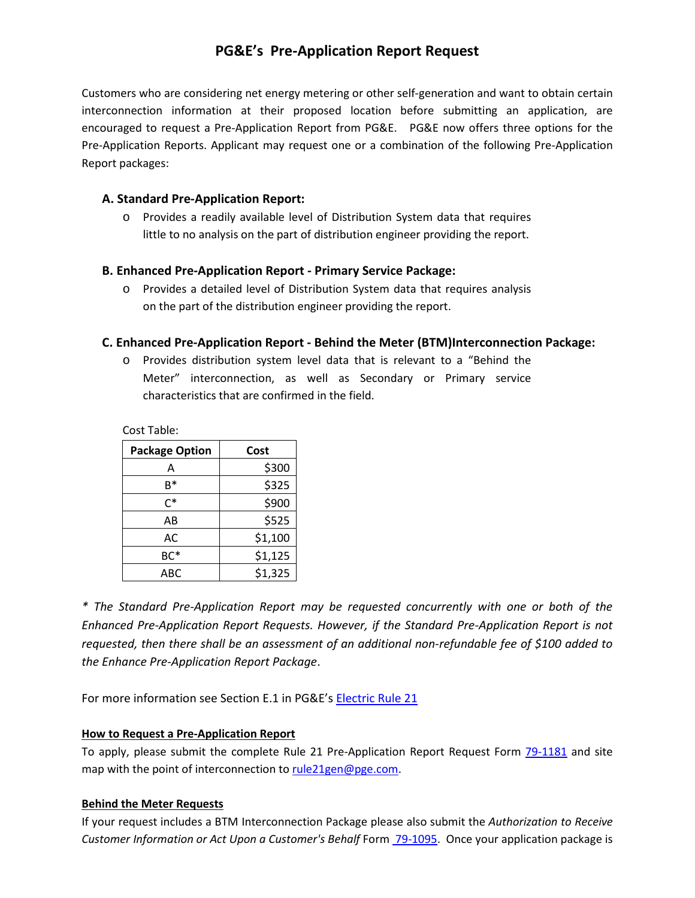# **PG&E's Pre-Application Report Request**

Customers who are considering net energy metering or other self-generation and want to obtain certain interconnection information at their proposed location before submitting an application, are encouraged to request a Pre-Application Report from PG&E. PG&E now offers three options for the Pre-Application Reports. Applicant may request one or a combination of the following Pre-Application Report packages:

# **A. Standard Pre-Application Report:**

o Provides a readily available level of Distribution System data that requires little to no analysis on the part of distribution engineer providing the report.

## **B. Enhanced Pre-Application Report - Primary Service Package:**

o Provides a detailed level of Distribution System data that requires analysis on the part of the distribution engineer providing the report.

## **C. Enhanced Pre-Application Report - Behind the Meter (BTM)Interconnection Package:**

o Provides distribution system level data that is relevant to a "Behind the Meter" interconnection, as well as Secondary or Primary service characteristics that are confirmed in the field.

Cost Table:

| <b>Package Option</b> | Cost    |  |
|-----------------------|---------|--|
| А                     | \$300   |  |
| R*                    | \$325   |  |
| $C^*$                 | \$900   |  |
| AB                    | \$525   |  |
| AC                    | \$1,100 |  |
| BC*                   | \$1,125 |  |
| АВС                   | \$1,325 |  |

*\* The Standard Pre-Application Report may be requested concurrently with one or both of the Enhanced Pre-Application Report Requests. However, if the Standard Pre-Application Report is not requested, then there shall be an assessment of an additional non-refundable fee of \$100 added to the Enhance Pre-Application Report Package*.

For more information see Section E.1 in PG&E's [Electric Rule 21](https://www.pge.com/tariffs/assets/pdf/tariffbook/ELEC_RULES_21.pdf)

#### **How to Request a Pre-Application Report**

To apply, please submit the complete Rule 21 Pre-Application Report Request Form [79-1181](https://www.pge.com/tariffs/assets/pdf/tariffbook/ELEC_FORMS_79-1181.pdf) and site map with the point of interconnection t[o rule21gen@pge.com.](mailto:rule21gen@pge.com)

#### **Behind the Meter Requests**

If your request includes a BTM Interconnection Package please also submit the *Authorization to Receive Customer Information or Act Upon a Customer's Behalf* Form [79-1095.](https://www.pge.com/tariffs/assets/pdf/tariffbook/ELEC_FORMS_79-1095.pdf) Once your application package is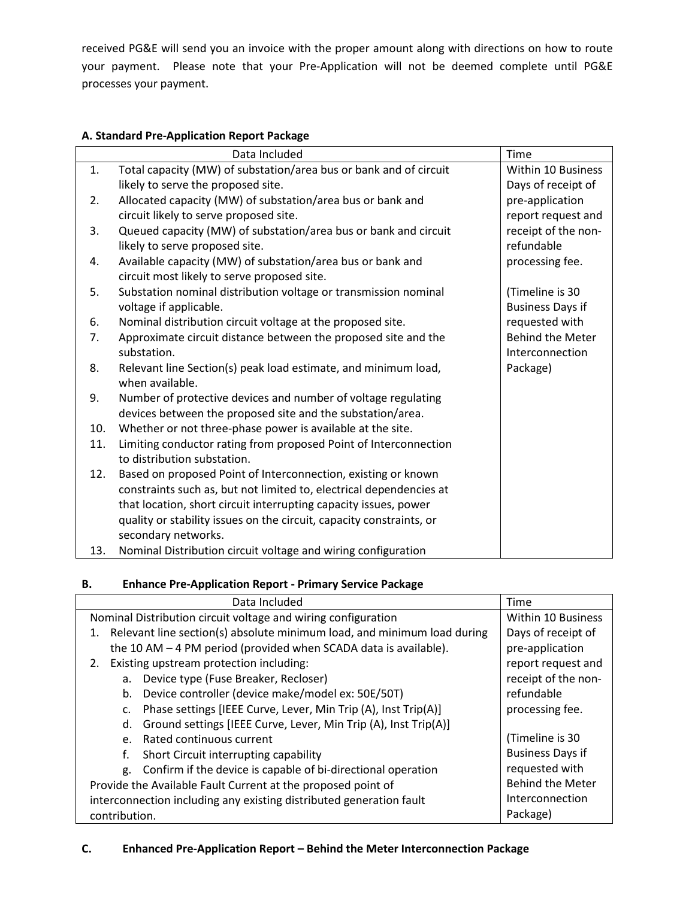received PG&E will send you an invoice with the proper amount along with directions on how to route your payment. Please note that your Pre-Application will not be deemed complete until PG&E processes your payment.

## **A. Standard Pre-Application Report Package**

|     | Data Included                                                        | Time                    |
|-----|----------------------------------------------------------------------|-------------------------|
| 1.  | Total capacity (MW) of substation/area bus or bank and of circuit    | Within 10 Business      |
|     | likely to serve the proposed site.                                   | Days of receipt of      |
| 2.  | Allocated capacity (MW) of substation/area bus or bank and           | pre-application         |
|     | circuit likely to serve proposed site.                               | report request and      |
| 3.  | Queued capacity (MW) of substation/area bus or bank and circuit      | receipt of the non-     |
|     | likely to serve proposed site.                                       | refundable              |
| 4.  | Available capacity (MW) of substation/area bus or bank and           | processing fee.         |
|     | circuit most likely to serve proposed site.                          |                         |
| 5.  | Substation nominal distribution voltage or transmission nominal      | (Timeline is 30         |
|     | voltage if applicable.                                               | <b>Business Days if</b> |
| 6.  | Nominal distribution circuit voltage at the proposed site.           | requested with          |
| 7.  | Approximate circuit distance between the proposed site and the       | <b>Behind the Meter</b> |
|     | substation.                                                          | Interconnection         |
| 8.  | Relevant line Section(s) peak load estimate, and minimum load,       | Package)                |
|     | when available.                                                      |                         |
| 9.  | Number of protective devices and number of voltage regulating        |                         |
|     | devices between the proposed site and the substation/area.           |                         |
| 10. | Whether or not three-phase power is available at the site.           |                         |
| 11. | Limiting conductor rating from proposed Point of Interconnection     |                         |
|     | to distribution substation.                                          |                         |
| 12. | Based on proposed Point of Interconnection, existing or known        |                         |
|     | constraints such as, but not limited to, electrical dependencies at  |                         |
|     | that location, short circuit interrupting capacity issues, power     |                         |
|     | quality or stability issues on the circuit, capacity constraints, or |                         |
|     | secondary networks.                                                  |                         |
| 13. | Nominal Distribution circuit voltage and wiring configuration        |                         |

# **B. Enhance Pre-Application Report - Primary Service Package**

| Data Included                                                                 | Time                    |
|-------------------------------------------------------------------------------|-------------------------|
| Nominal Distribution circuit voltage and wiring configuration                 | Within 10 Business      |
| Relevant line section(s) absolute minimum load, and minimum load during<br>1. | Days of receipt of      |
| the 10 AM $-$ 4 PM period (provided when SCADA data is available).            | pre-application         |
| Existing upstream protection including:<br>2.                                 | report request and      |
| Device type (Fuse Breaker, Recloser)<br>a.                                    | receipt of the non-     |
| Device controller (device make/model ex: 50E/50T)<br>b.                       | refundable              |
| Phase settings [IEEE Curve, Lever, Min Trip (A), Inst Trip(A)]<br>c.          | processing fee.         |
| Ground settings [IEEE Curve, Lever, Min Trip (A), Inst Trip(A)]<br>d.         |                         |
| Rated continuous current<br>$e_{1}$                                           | (Timeline is 30         |
| Short Circuit interrupting capability<br>f.                                   | <b>Business Days if</b> |
| Confirm if the device is capable of bi-directional operation<br>g.            | requested with          |
| Provide the Available Fault Current at the proposed point of                  | <b>Behind the Meter</b> |
| interconnection including any existing distributed generation fault           | Interconnection         |
| contribution.                                                                 | Package)                |